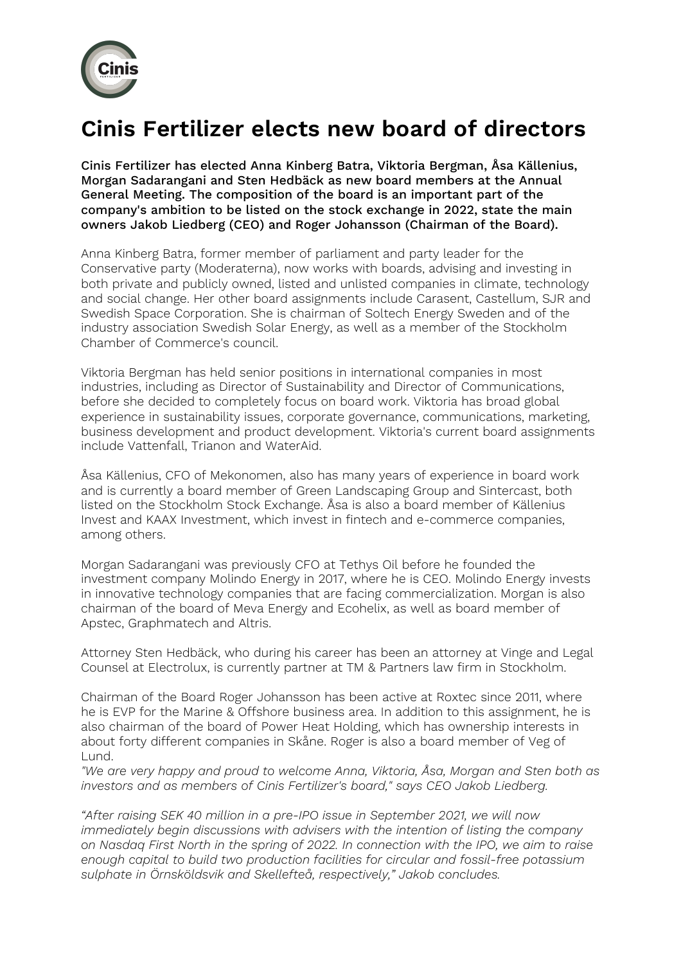

## **Cinis Fertilizer elects new board of directors**

Cinis Fertilizer has elected Anna Kinberg Batra, Viktoria Bergman, Åsa Källenius, Morgan Sadarangani and Sten Hedbäck as new board members at the Annual General Meeting. The composition of the board is an important part of the company's ambition to be listed on the stock exchange in 2022, state the main owners Jakob Liedberg (CEO) and Roger Johansson (Chairman of the Board).

Anna Kinberg Batra, former member of parliament and party leader for the Conservative party (Moderaterna), now works with boards, advising and investing in both private and publicly owned, listed and unlisted companies in climate, technology and social change. Her other board assignments include Carasent, Castellum, SJR and Swedish Space Corporation. She is chairman of Soltech Energy Sweden and of the industry association Swedish Solar Energy, as well as a member of the Stockholm Chamber of Commerce's council.

Viktoria Bergman has held senior positions in international companies in most industries, including as Director of Sustainability and Director of Communications, before she decided to completely focus on board work. Viktoria has broad global experience in sustainability issues, corporate governance, communications, marketing, business development and product development. Viktoria's current board assignments include Vattenfall, Trianon and WaterAid.

Åsa Källenius, CFO of Mekonomen, also has many years of experience in board work and is currently a board member of Green Landscaping Group and Sintercast, both listed on the Stockholm Stock Exchange. Åsa is also a board member of Källenius Invest and KAAX Investment, which invest in fintech and e-commerce companies, among others.

Morgan Sadarangani was previously CFO at Tethys Oil before he founded the investment company Molindo Energy in 2017, where he is CEO. Molindo Energy invests in innovative technology companies that are facing commercialization. Morgan is also chairman of the board of Meva Energy and Ecohelix, as well as board member of Apstec, Graphmatech and Altris.

Attorney Sten Hedbäck, who during his career has been an attorney at Vinge and Legal Counsel at Electrolux, is currently partner at TM & Partners law firm in Stockholm.

Chairman of the Board Roger Johansson has been active at Roxtec since 2011, where he is EVP for the Marine & Offshore business area. In addition to this assignment, he is also chairman of the board of Power Heat Holding, which has ownership interests in about forty different companies in Skåne. Roger is also a board member of Veg of Lund.

*"We are very happy and proud to welcome Anna, Viktoria, Åsa, Morgan and Sten both as investors and as members of Cinis Fertilizer's board," says CEO Jakob Liedberg.*

*"After raising SEK 40 million in a pre-IPO issue in September 2021, we will now immediately begin discussions with advisers with the intention of listing the company on Nasdaq First North in the spring of 2022. In connection with the IPO, we aim to raise enough capital to build two production facilities for circular and fossil-free potassium sulphate in Örnsköldsvik and Skellefteå, respectively," Jakob concludes.*